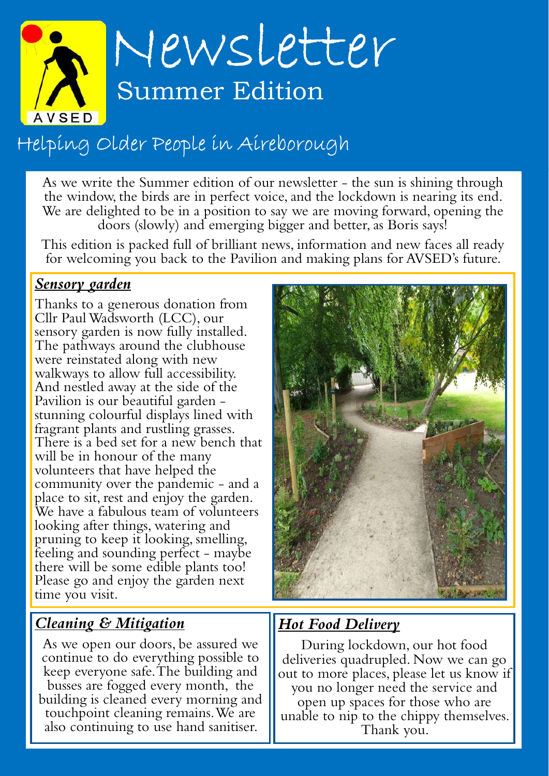

# Helping Older People in Aireborough

As we write the Summer edition of our newsletter - the sun is shining through the window, the birds are in perfect voice, and the lockdown is nearing its end. We are delighted to be in a position to say we are moving forward, opening the doors (slowly) and emerging bigger and better, as Boris says!

This edition is packed full of brilliant news, information and new faces all ready for welcoming you back to the Pavilion and making plans for AVSED's future.

#### Sensory garden

Thanks to a generous donation from Cllr Paul Wadsworth (LCC), our sensory garden is now fully installed. The pathways around the clubhouse were reinstated along with new walkways to allow full accessibility. And nestled away at the side of the Pavilion is our beautiful garden stunning colourful displays lined with fragrant plants and rustling grasses. There is a bed set for a new bench that will be in honour of the many volunteers that have helped the community over the pandemic - and a place to sit, rest and enjoy the garden. We have a fabulous team of volunteers looking after things, watering and pruning to keep it looking, smelling, feeling and sounding perfect - maybe there will be some edible plants too! Please go and enjoy the garden next time you visit.

#### Cleaning & Mitigation

As we open our doors, be assured we continue to do everything possible to keep everyone safe. The building and busses are fogged every month, the building is cleaned every morning and touchpoint cleaning remains. We are also continuing to use hand sanitiser.



#### **Hot Food Delivery**

During lockdown, our hot food deliveries quadrupled. Now we can go out to more places, please let us know if you no longer need the service and open up spaces for those who are unable to nip to the chippy themselves. Thank you.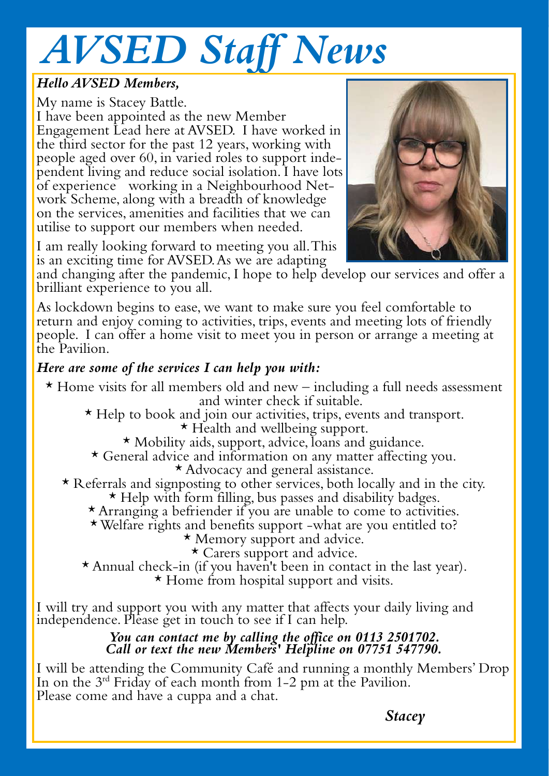# AVSED Staff News

#### Hello AVSED Members,

My name is Stacey Battle. I have been appointed as the new Member Engagement Lead here at AVSED. I have worked in the third sector for the past 12 years, working with people aged over 60, in varied roles to support independent living and reduce social isolation. I have lots of experience working in a Neighbourhood Network Scheme, along with a breadth of knowledge on the services, amenities and facilities that we can utilise to support our members when needed.



I am really looking forward to meeting you all. This is an exciting time for AVSED. As we are adapting

and changing after the pandemic, I hope to help develop our services and offer a brilliant experience to you all.

As lockdown begins to ease, we want to make sure you feel comfortable to return and enjoy coming to activities, trips, events and meeting lots of friendly people. I can offer a home visit to meet you in person or arrange a meeting at the Pavilion.

#### Here are some of the services I can help you with:

- $\star$  Home visits for all members old and new including a full needs assessment and winter check if suitable.
	- \* Help to book and join our activities, trips, events and transport. \* Health and wellbeing support.
		- \* Mobility aids, support, advice, loans and guidance.
		- \* General advice and information on any matter affecting you.
			- \* Advocacy and general assistance.
	- \* Referrals and signposting to other services, both locally and in the city. \* Help with form filling, bus passes and disability badges.
		- \* Arranging a befriender if you are unable to come to activities.
		- \*Welfare rights and benefits support -what are you entitled to?
			- \* Memory support and advice.

\* Carers support and advice.

\* Annual check-in (if you haven't been in contact in the last year). \* Home from hospital support and visits.

I will try and support you with any matter that affects your daily living and independence. Please get in touch to see if I can help.

#### You can contact me by calling the office on 0113 2501702. Call or text the new Members' Helpline on 07751 547790.

I will be attending the Community Café and running a monthly Members' Drop In on the 3rd Friday of each month from 1-2 pm at the Pavilion. Please come and have a cuppa and a chat.

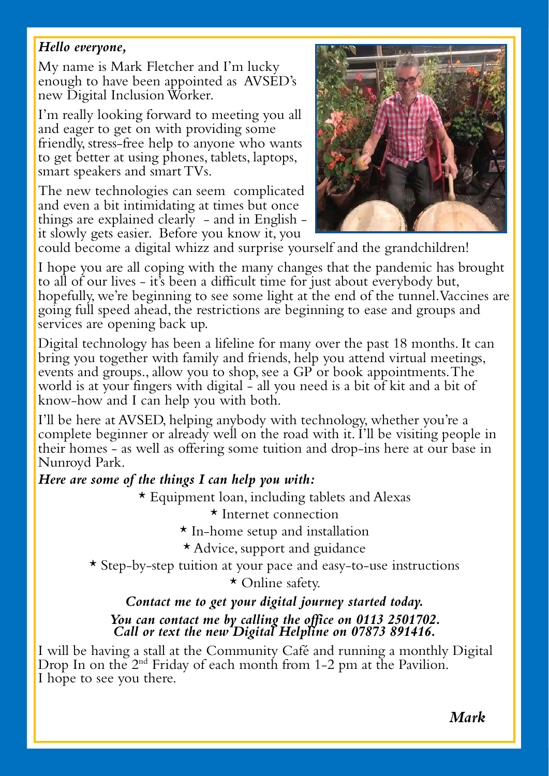#### Hello everyone,

My name is Mark Fletcher and I'm lucky enough to have been appointed as AVSED's new Digital Inclusion Worker.

I'm really looking forward to meeting you all and eager to get on with providing some friendly, stress-free help to anyone who wants to get better at using phones, tablets, laptops, smart speakers and smart TVs.

The new technologies can seem complicated and even a bit intimidating at times but once things are explained clearly - and in English it slowly gets easier. Before you know it, you



could become a digital whizz and surprise yourself and the grandchildren!

I hope you are all coping with the many changes that the pandemic has brought to all of our lives - it's been a difficult time for just about everybody but, hopefully, we're beginning to see some light at the end of the tunnel. Vaccines are going full speed ahead, the restrictions are beginning to ease and groups and services are opening back up.

Digital technology has been a lifeline for many over the past 18 months. It can bring you together with family and friends, help you attend virtual meetings, events and groups., allow you to shop, see a GP or book appointments. The world is at your fingers with digital - all you need is a bit of kit and a bit of know-how and I can help you with both.

I'll be here at AVSED, helping anybody with technology, whether you're a complete beginner or already well on the road with it. I'll be visiting people in their homes - as well as offering some tuition and drop-ins here at our base in Nunroyd Park.

#### Here are some of the things I can help you with:

\* Equipment loan, including tablets and Alexas

\* Internet connection

\* In-home setup and installation

\* Advice, support and guidance

\* Step-by-step tuition at your pace and easy-to-use instructions \* Online safety.

#### Contact me to get your digital journey started today. You can contact me by calling the office on 0113 2501702. Call or text the new Digital Helpline on 07873 891416.

I will be having a stall at the Community Café and running a monthly Digital Drop In on the 2<sup>nd</sup> Friday of each month from 1-2 pm at the Pavilion. I hope to see you there.

**Mark Mark Mark**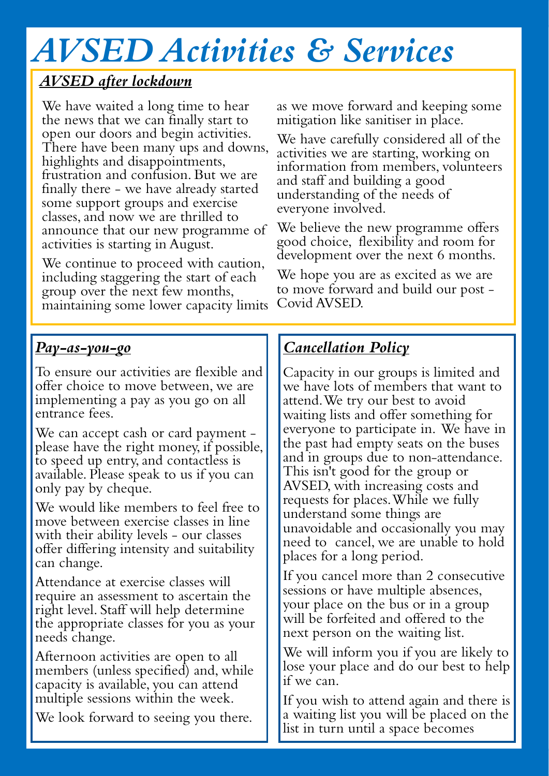# AVSED Activities & Services

### AVSED after lockdown

We have waited a long time to hear the news that we can finally start to open our doors and begin activities. There have been many ups and downs, highlights and disappointments, frustration and confusion. But we are finally there - we have already started some support groups and exercise classes, and now we are thrilled to announce that our new programme of activities is starting in August.

We continue to proceed with caution, including staggering the start of each group over the next few months, maintaining some lower capacity limits

#### Pay-as-you-go

To ensure our activities are flexible and offer choice to move between, we are implementing a pay as you go on all entrance fees.

We can accept cash or card payment please have the right money, if possible, to speed up entry, and contactless is available. Please speak to us if you can only pay by cheque.

We would like members to feel free to move between exercise classes in line with their ability levels – our classes offer differing intensity and suitability can change.

Attendance at exercise classes will require an assessment to ascertain the right level. Staff will help determine the appropriate classes for you as your needs change.

Afternoon activities are open to all members (unless specified) and, while capacity is available, you can attend multiple sessions within the week.

We look forward to seeing you there.

as we move forward and keeping some mitigation like sanitiser in place.

We have carefully considered all of the activities we are starting, working on information from members, volunteers and staff and building a good understanding of the needs of everyone involved.

We believe the new programme offers good choice, flexibility and room for development over the next 6 months.

We hope you are as excited as we are to move forward and build our post - Covid AVSED.

### Cancellation Policy

Capacity in our groups is limited and we have lots of members that want to attend. We try our best to avoid waiting lists and offer something for everyone to participate in. We have in the past had empty seats on the buses and in groups due to non-attendance. This isn't good for the group or AVSED, with increasing costs and requests for places. While we fully understand some things are unavoidable and occasionally you may need to cancel, we are unable to hold places for a long period.

If you cancel more than 2 consecutive sessions or have multiple absences, your place on the bus or in a group will be forfeited and offered to the next person on the waiting list.

We will inform you if you are likely to lose your place and do our best to help if we can.

If you wish to attend again and there is a waiting list you will be placed on the list in turn until a space becomes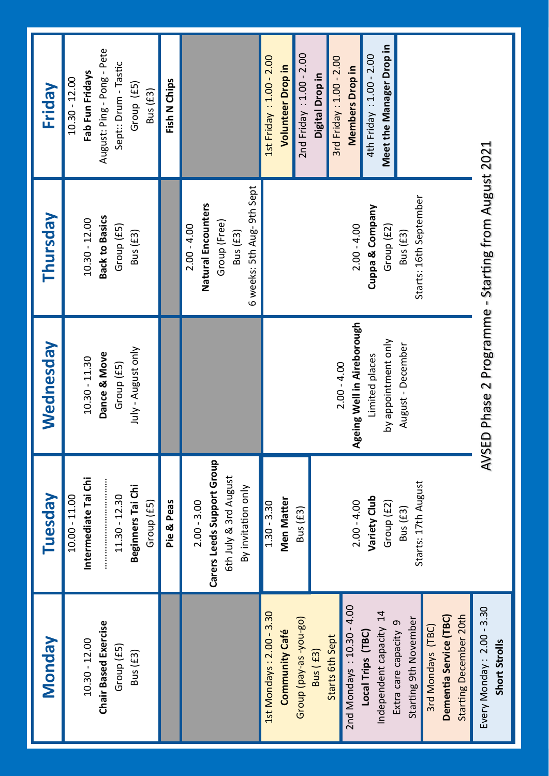| <b>Monday</b>                                                                                                                                                                                                                                                                                              | <b>Tuesday</b>                                                                                                                   | Wednesday                                                                                                 | Thursday                                                                                       | Friday                                                                                                                                                                                                 |
|------------------------------------------------------------------------------------------------------------------------------------------------------------------------------------------------------------------------------------------------------------------------------------------------------------|----------------------------------------------------------------------------------------------------------------------------------|-----------------------------------------------------------------------------------------------------------|------------------------------------------------------------------------------------------------|--------------------------------------------------------------------------------------------------------------------------------------------------------------------------------------------------------|
| <b>Chair Based Exercise</b><br>$10.30 - 12.00$<br>Group (£5)<br>Bus (£3)                                                                                                                                                                                                                                   | Intermediate Tai Chi<br>Beginners Tai Chi<br>$11.30 - 12.30$<br>$10.00 - 11.00$<br>Group (£5)                                    | July - August only<br>Dance & Move<br>$10.30 - 11.30$<br>Group (£5)                                       | <b>Back to Basics</b><br>10.30 - 12.00<br>Group (£5)<br>Bus (£3)                               | August: Ping - Pong - Pete<br>Sept:: Drum - Tastic<br>Fab Fun Fridays<br>$10.30 - 12.00$<br>Group (£5)<br>Bus (£3)                                                                                     |
|                                                                                                                                                                                                                                                                                                            | Pie & Peas                                                                                                                       |                                                                                                           |                                                                                                | Fish N Chips                                                                                                                                                                                           |
|                                                                                                                                                                                                                                                                                                            | Carers Leeds Support Group<br>6th July & 3rd August<br>By invitation only<br>$2.00 - 3.00$                                       |                                                                                                           | 6 weeks: 5th Aug-9th Sept<br>Natural Encounters<br>Group (Free)<br>$2.00 - 4.00$<br>Bus $(E3)$ |                                                                                                                                                                                                        |
| 2nd Mondays: 10.30 - 4.00<br>Independent capacity 14<br>1st Mondays: 2.00 - 3.30<br>Starting December 20th<br>Dementia Service (TBC)<br>Group (pay-as-you-go)<br>Starting 9th November<br>Extra care capacity 9<br>3rd Mondays (TBC)<br>Community Café<br>Local Trips (TBC)<br>Starts 6th Sept<br>Bus (£3) | Starts: 17th August<br>Variety Club<br><b>Men Matter</b><br>$2.00 - 4.00$<br>Group (£2)<br>$1.30 - 3.30$<br>Bus (£3)<br>Bus (£3) | Ageing Well in Aireborough<br>by appointment only<br>August - December<br>Limited places<br>$2.00 - 4.00$ | Starts: 16th September<br>Cuppa & Company<br>$2.00 - 4.00$<br>Group (£2)<br>Bus (£3)           | Meet the Manager Drop in<br>2nd Friday: 1.00 - 2.00<br>4th Friday: 1.00 - 2.00<br>1st Friday: 1.00 - 2.00<br>3rd Friday: 1.00 - 2.00<br><b>Volunteer Drop in</b><br>Members Drop in<br>Digital Drop in |
| Every Monday: 2.00 - 3.30<br>Short Strolls                                                                                                                                                                                                                                                                 |                                                                                                                                  | AVSED Phase 2 Programme - Starting from August 2021                                                       |                                                                                                |                                                                                                                                                                                                        |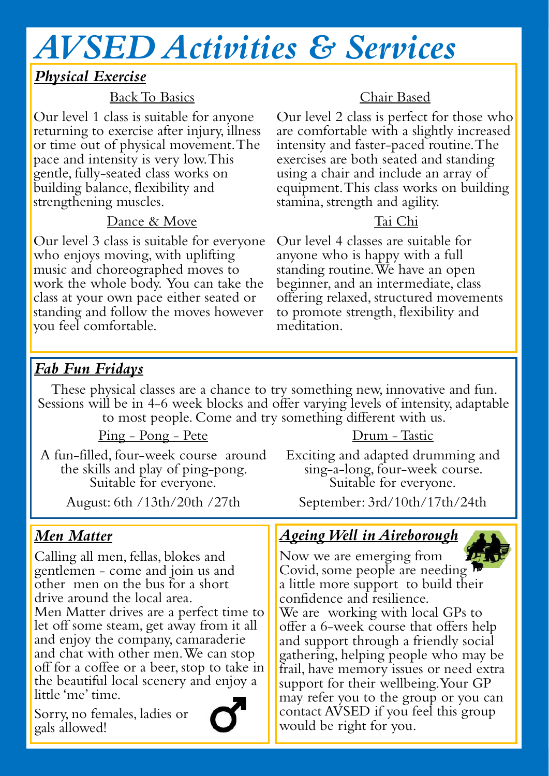# AVSED Activities & Services

#### Physical Exercise

#### Back To Basics

Our level 1 class is suitable for anyone returning to exercise after injury, illness or time out of physical movement. The pace and intensity is very low. This gentle, fully-seated class works on building balance, flexibility and strengthening muscles.

#### Dance & Move

Our level 3 class is suitable for everyone who enjoys moving, with uplifting music and choreographed moves to work the whole body. You can take the class at your own pace either seated or standing and follow the moves however you feel comfortable.

#### Chair Based

Our level 2 class is perfect for those who are comfortable with a slightly increased intensity and faster-paced routine. The exercises are both seated and standing using a chair and include an array of equipment. This class works on building stamina, strength and agility.

#### Tai Chi

Our level 4 classes are suitable for anyone who is happy with a full standing routine. We have an open beginner, and an intermediate, class offering relaxed, structured movements to promote strength, flexibility and meditation.

#### Fab Fun Fridays

These physical classes are a chance to try something new, innovative and fun. Sessions will be in 4-6 week blocks and offer varying levels of intensity, adaptable to most people. Come and try something different with us.

#### Ping - Pong - Pete

A fun-filled, four-week course around the skills and play of ping-pong. Suitable for everyone.

August: 6th /13th/20th /27th

#### Men Matter

Calling all men, fellas, blokes and gentlemen - come and join us and other men on the bus for a short drive around the local area. Men Matter drives are a perfect time to let off some steam, get away from it all and enjoy the company, camaraderie and chat with other men. We can stop off for a coffee or a beer, stop to take in the beautiful local scenery and enjoy a little 'me' time.

Sorry, no females, ladies or gals allowed!



#### Drum -Tastic

Exciting and adapted drumming and sing-a-long, four-week course. Suitable for everyone.

September: 3rd/10th/17th/24th

### Ageing Well in Aireborough



Now we are emerging from Covid, some people are needing  $\overline{P}$ a little more support to build their confidence and resilience.

We are working with local GPs to offer a 6-week course that offers help and support through a friendly social gathering, helping people who may be frail, have memory issues or need extra support for their wellbeing. Your GP may refer you to the group or you can contact AVSED if you feel this group would be right for you.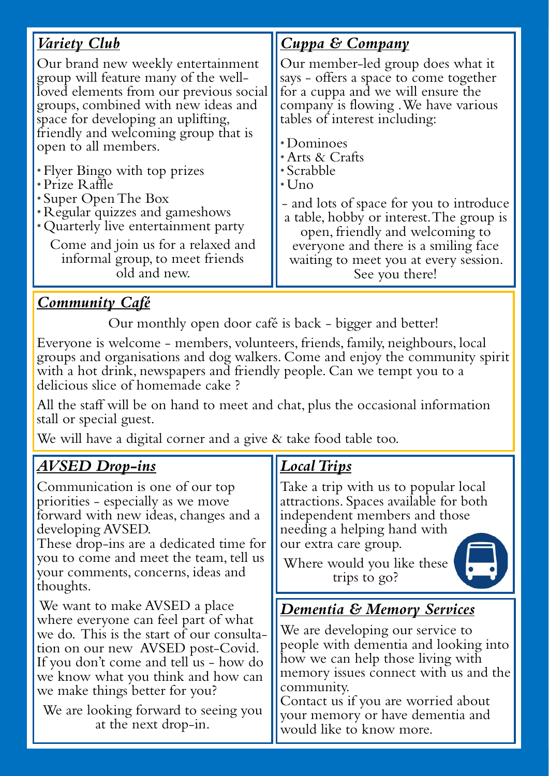| <u>Variety Club</u>                                                                                                                                                                                                                                                                                                                                                                                                                                                                                              | <b>Cuppa &amp; Company</b>                                                                                                                                                                                                                                                                                                                                                                                                                                     |
|------------------------------------------------------------------------------------------------------------------------------------------------------------------------------------------------------------------------------------------------------------------------------------------------------------------------------------------------------------------------------------------------------------------------------------------------------------------------------------------------------------------|----------------------------------------------------------------------------------------------------------------------------------------------------------------------------------------------------------------------------------------------------------------------------------------------------------------------------------------------------------------------------------------------------------------------------------------------------------------|
| Our brand new weekly entertainment<br>group will feature many of the well-<br>loved elements from our previous social<br>groups, combined with new ideas and<br>space for developing an uplifting,<br>friendly and welcoming group that is<br>open to all members.<br>* Flyer Bingo with top prizes<br>*Prize Raffle<br>* Super Open The Box<br>* Regular quizzes and gameshows<br>* Quarterly live entertainment party<br>Come and join us for a relaxed and<br>informal group, to meet friends<br>old and new. | Our member-led group does what it<br>says - offers a space to come together<br>for a cuppa and we will ensure the<br>company is flowing. We have various<br>tables of interest including:<br>*Dominoes<br>* Arts & Crafts<br>* Scrabble<br>$*$ Uno<br>- and lots of space for you to introduce<br>a table, hobby or interest. The group is<br>open, friendly and welcoming to<br>everyone and there is a smiling face<br>waiting to meet you at every session. |
|                                                                                                                                                                                                                                                                                                                                                                                                                                                                                                                  | See you there!                                                                                                                                                                                                                                                                                                                                                                                                                                                 |

#### **Community Café**

Our monthly open door café is back - bigger and better!

Everyone is welcome - members, volunteers, friends, family, neighbours, local groups and organisations and dog walkers. Come and enjoy the community spirit with a hot drink, newspapers and friendly people. Can we tempt you to a delicious slice of homemade cake ?

All the staff will be on hand to meet and chat, plus the occasional information stall or special guest.

We will have a digital corner and a give & take food table too.

#### AVSED Drop-ins

Communication is one of our top priorities - especially as we move forward with new ideas, changes and a developing AVSED.

These drop-ins are a dedicated time for you to come and meet the team, tell us your comments, concerns, ideas and thoughts.

We want to make AVSED a place where everyone can feel part of what we do. This is the start of our consultation on our new AVSED post-Covid. If you don't come and tell us - how do we know what you think and how can we make things better for you?

We are looking forward to seeing you at the next drop-in.

#### Local Trips

Take a trip with us to popular local attractions. Spaces available for both independent members and those needing a helping hand with our extra care group.

Where would you like these trips to go?



### Dementia & Memory Services

We are developing our service to people with dementia and looking into how we can help those living with memory issues connect with us and the community.

Contact us if you are worried about your memory or have dementia and would like to know more.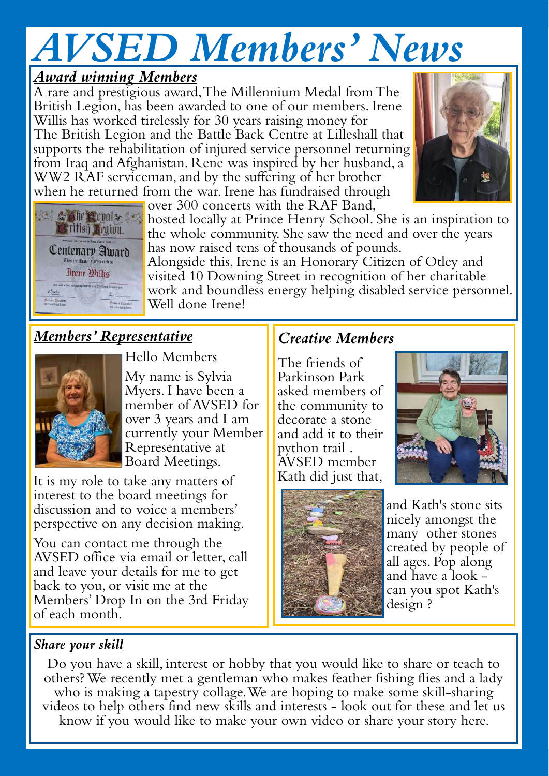# AVSED Members' News

#### Award winning Members

A rare and prestigious award, The Millennium Medal from The British Legion, has been awarded to one of our members. Irene Willis has worked tirelessly for 30 years raising money for The British Legion and the Battle Back Centre at Lilleshall that supports the rehabilitation of injured service personnel returning from Iraq and Afghanistan. Rene was inspired by her husband, a WW2 RAF serviceman, and by the suffering of her brother when he returned from the war. Irene has fundraised through over 300 concerts with the RAF Band,





**the Royal State of Locally at Prince Henry School. She is an inspiration to** the whole community. She saw the need and over the years has now raised tens of thousands of pounds.

Alongside this, Irene is an Honorary Citizen of Otley and visited 10 Downing Street in recognition of her charitable work and boundless energy helping disabled service personnel. Well done Irene!

## Members' Representative



Hello Members

My name is Sylvia Myers. I have been a member of AVSED for over 3 years and I am currently your Member Representative at Board Meetings.

It is my role to take any matters of interest to the board meetings for discussion and to voice a members' perspective on any decision making.

You can contact me through the AVSED office via email or letter, call and leave your details for me to get back to you, or visit me at the Members' Drop In on the 3rd Friday of each month.

### Creative Members

The friends of Parkinson Park asked members of the community to decorate a stone and add it to their python trail . AVSED member Kath did just that,





and Kath's stone sits nicely amongst the many other stones created by people of all ages. Pop along and have a look can you spot Kath's design ?

#### Share your skill

Do you have a skill, interest or hobby that you would like to share or teach to others? We recently met a gentleman who makes feather fishing flies and a lady who is making a tapestry collage. We are hoping to make some skill-sharing videos to help others find new skills and interests - look out for these and let us know if you would like to make your own video or share your story here.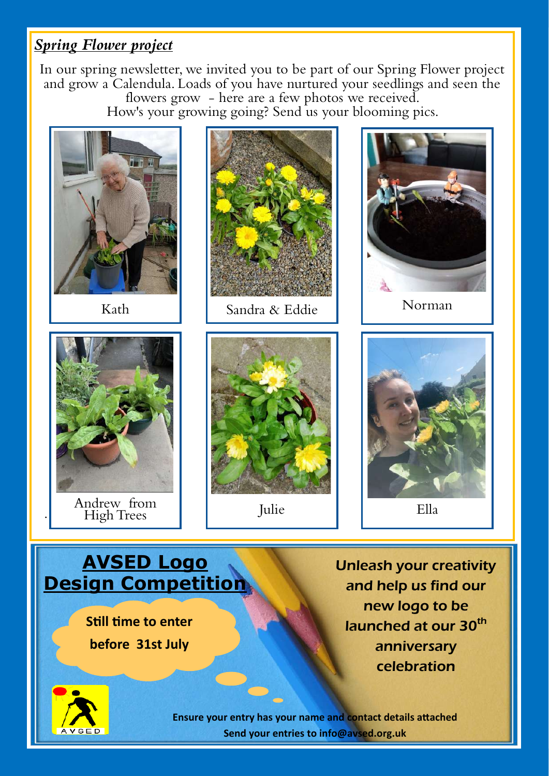#### Spring Flower project

In our spring newsletter, we invited you to be part of our Spring Flower project and grow a Calendula. Loads of you have nurtured your seedlings and seen the flowers grow - here are a few photos we received. How's your growing going? Send us your blooming pics.

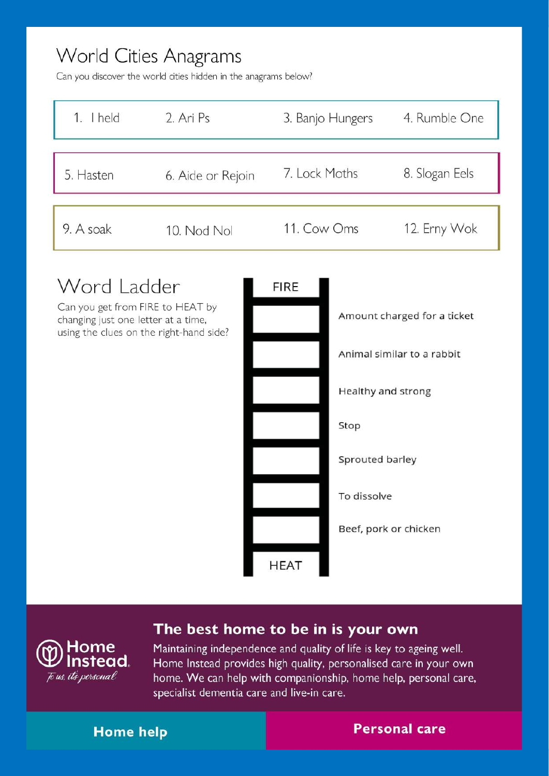## **World Cities Anagrams**

Can you discover the world cities hidden in the anagrams below?

| $1.$ I held | 2. Ari Ps         | 3. Banjo Hungers | 4. Rumble One  |
|-------------|-------------------|------------------|----------------|
| 5. Hasten   | 6. Aide or Rejoin | 7. Lock Moths    | 8. Slogan Eels |
| 9. A soak   | 10. Nod Nol       | 11. Cow Oms      | 12. Erny Wok   |

## Word Ladder **FIRE** Can you get from FIRE to HEAT by Amount charged for a ticket changing just one letter at a time, using the clues on the right-hand side? Animal similar to a rabbit Healthy and strong Stop Sprouted barley To dissolve Beef, pork or chicken **HEAT**

#### The best home to be in is your own

Home Instead. To us, its personal

Maintaining independence and quality of life is key to ageing well. Home Instead provides high quality, personalised care in your own home. We can help with companionship, home help, personal care, specialist dementia care and live-in care.

#### **Home help**

**Personal care**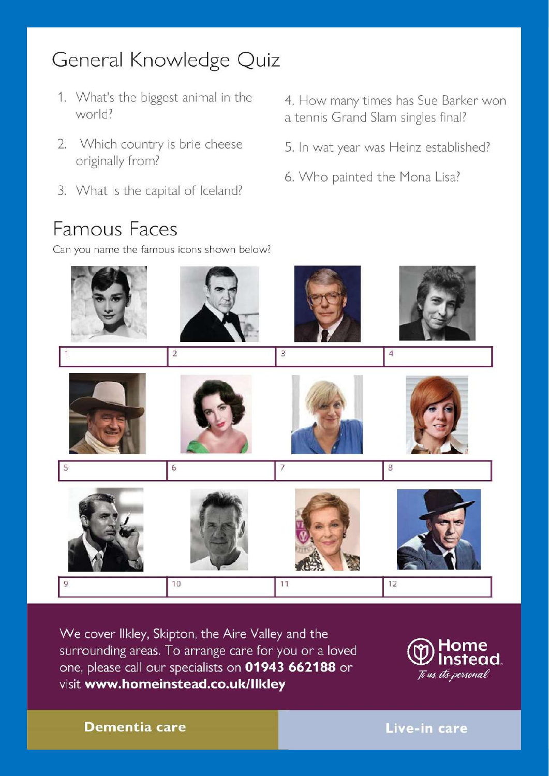## General Knowledge Quiz

- 1. What's the biggest animal in the world?
- 2. Which country is brie cheese originally from?
- 3. What is the capital of Iceland?

## **Famous Faces**

Can you name the famous icons shown below?

- 4. How many times has Sue Barker won a tennis Grand Slam singles final?
- 5. In wat year was Heinz established?
- 6. Who painted the Mona Lisa?



We cover Ilkley, Skipton, the Aire Valley and the surrounding areas. To arrange care for you or a loved one, please call our specialists on 01943 662188 or visit www.homeinstead.co.uk/Ilkley



**Dementia care** 

Live-in care